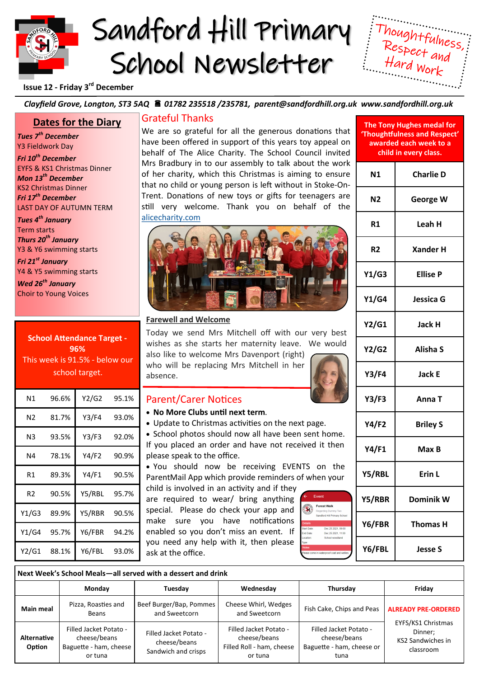# Sandford Hill Primary School Newsletter



## **Issue 12 - Friday 3rd December**

### *Clayfield Grove, Longton, ST3 5AQ 01782 235518 /235781, parent@sandfordhill.org.uk www.sandfordhill.org.uk*

# **Dates for the Diary**

*Tues 7th December* Y3 Fieldwork Day *Fri 10th December* EYFS & KS1 Christmas Dinner *Mon 13th December* KS2 Christmas Dinner *Fri 17th December* LAST DAY OF AUTUMN TERM

*Tues 4th January* Term starts *Thurs 20th January* Y3 & Y6 swimming starts

*Fri 21st January* Y4 & Y5 swimming starts

*Wed 26th January* Choir to Young Voices

**School Attendance Target - 96%** This week is 91.5% - below our school target.

| Ν1    | 96.6% | Y2/G2  | 95.1% |
|-------|-------|--------|-------|
| N2    | 81.7% | Y3/F4  | 93.0% |
| N3    | 93.5% | Y3/F3  | 92.0% |
| Ν4    | 78.1% | Y4/F2  | 90.9% |
| R1    | 89.3% | Y4/F1  | 90.5% |
| R2    | 90.5% | Y5/RBL | 95.7% |
| Y1/G3 | 89.9% | Y5/RBR | 90.5% |
| Y1/G4 | 95.7% | Y6/FBR | 94.2% |
| Y2/G1 | 88.1% | Y6/FBL | 93.0% |

# Grateful Thanks

We are so grateful for all the generous donations that have been offered in support of this years toy appeal on behalf of The Alice Charity. The School Council invited Mrs Bradbury in to our assembly to talk about the work of her charity, which this Christmas is aiming to ensure that no child or young person is left without in Stoke-On-Trent. Donations of new toys or gifts for teenagers are still very welcome. Thank you on behalf of the [alicecharity.com](https://alicecharity.com/)



#### **Farewell and Welcome**

Today we send Mrs Mitchell off with our very best wishes as she starts her maternity leave. We would also like to welcome Mrs Davenport (right)

who will be replacing Mrs Mitchell in her absence.

### Parent/Carer Notices

- **No More Clubs until next term**.
- Update to Christmas activities on the next page.
- School photos should now all have been sent home. If you placed an order and have not received it then please speak to the office.

• You should now be receiving EVENTS on the ParentMail App which provide reminders of when your

child is involved in an activity and if they are required to wear/ bring anything special. Please do check your app and make sure you have notifications enabled so you don't miss an event. If you need any help with it, then please ask at the office.



| The Tony Hughes medal for<br>'Thoughtfulness and Respect'<br>awarded each week to a<br>child in every class. |                  |  |  |
|--------------------------------------------------------------------------------------------------------------|------------------|--|--|
| Ν1                                                                                                           | <b>Charlie D</b> |  |  |
| Ν2                                                                                                           | George W         |  |  |
| R1                                                                                                           | Leah H           |  |  |
| R <sub>2</sub>                                                                                               | <b>Xander H</b>  |  |  |
| Y1/G3                                                                                                        | <b>Ellise P</b>  |  |  |
| Y1/G4                                                                                                        | Jessica G        |  |  |
| Y2/G1                                                                                                        | Jack H           |  |  |
| <b>Y2/G2</b>                                                                                                 | <b>Alisha S</b>  |  |  |
| <b>Y3/F4</b>                                                                                                 | Jack E           |  |  |
| Y3/F3                                                                                                        | Anna T           |  |  |
| Y4/F2                                                                                                        | <b>Briley S</b>  |  |  |
| Y4/F1                                                                                                        | Max B            |  |  |
| Y5/RBL                                                                                                       | Erin L           |  |  |
| Y5/RBR                                                                                                       | <b>Dominik W</b> |  |  |
| Y6/FBR                                                                                                       | Thomas H         |  |  |
| Y6/FBL                                                                                                       | <b>Jesse S</b>   |  |  |

#### **Next Week's School Meals—all served with a dessert and drink**

|                       | Monday                                                                      | Tuesday                                                       | Wednesday                                                                      | Thursday                                                                    | Fridav                                                                                               |
|-----------------------|-----------------------------------------------------------------------------|---------------------------------------------------------------|--------------------------------------------------------------------------------|-----------------------------------------------------------------------------|------------------------------------------------------------------------------------------------------|
| <b>Main meal</b>      | Pizza, Roasties and<br>Beans                                                | Beef Burger/Bap, Pommes<br>and Sweetcorn                      | Cheese Whirl, Wedges<br>and Sweetcorn                                          | Fish Cake, Chips and Peas                                                   | <b>ALREADY PRE-ORDERED</b><br>EYFS/KS1 Christmas<br>Dinner:<br><b>KS2 Sandwiches in</b><br>classroom |
| Alternative<br>Option | Filled Jacket Potato -<br>cheese/beans<br>Baguette - ham, cheese<br>or tuna | Filled Jacket Potato -<br>cheese/beans<br>Sandwich and crisps | Filled Jacket Potato -<br>cheese/beans<br>Filled Roll - ham, cheese<br>or tuna | Filled Jacket Potato -<br>cheese/beans<br>Baguette - ham, cheese or<br>tuna |                                                                                                      |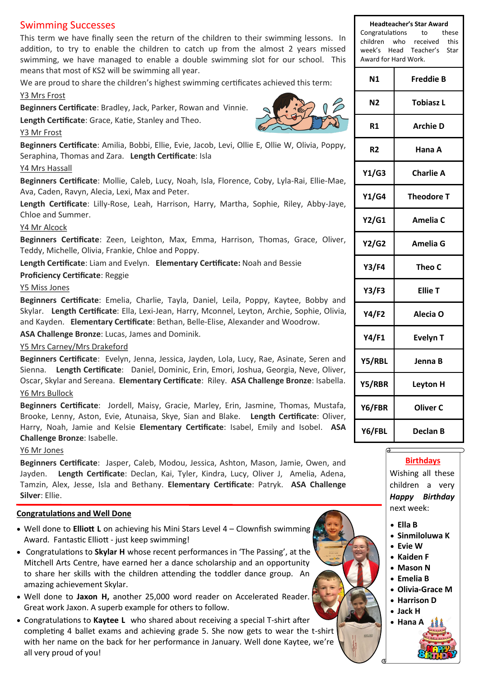# Swimming Successes

This term we have finally seen the return of the children to their swimming lessons. In addition, to try to enable the children to catch up from the almost 2 years missed swimming, we have managed to enable a double swimming slot for our school. This means that most of KS2 will be swimming all year.

We are proud to share the children's highest swimming certificates achieved this term: Y3 Mrs Frost

**Beginners Certificate**: Bradley, Jack, Parker, Rowan and Vinnie.

**Length Certificate**: Grace, Katie, Stanley and Theo.

#### Y3 Mr Frost

**Beginners Certificate**: Amilia, Bobbi, Ellie, Evie, Jacob, Levi, Ollie E, Ollie W, Olivia, Poppy, Seraphina, Thomas and Zara. **Length Certificate**: Isla

#### Y4 Mrs Hassall

**Beginners Certificate**: Mollie, Caleb, Lucy, Noah, Isla, Florence, Coby, Lyla-Rai, Ellie-Mae, Ava, Caden, Ravyn, Alecia, Lexi, Max and Peter.

**Length Certificate**: Lilly-Rose, Leah, Harrison, Harry, Martha, Sophie, Riley, Abby-Jaye, Chloe and Summer.

#### Y4 Mr Alcock

**Beginners Certificate**: Zeen, Leighton, Max, Emma, Harrison, Thomas, Grace, Oliver, Teddy, Michelle, Olivia, Frankie, Chloe and Poppy.

**Length Certificate**: Liam and Evelyn. **Elementary Certificate:** Noah and Bessie

**Proficiency Certificate**: Reggie

#### Y5 Miss Jones

**Beginners Certificate**: Emelia, Charlie, Tayla, Daniel, Leila, Poppy, Kaytee, Bobby and Skylar. **Length Certificate**: Ella, Lexi-Jean, Harry, Mconnel, Leyton, Archie, Sophie, Olivia, and Kayden. **Elementary Certificate**: Bethan, Belle-Elise, Alexander and Woodrow.

**ASA Challenge Bronze**: Lucas, James and Dominik.

#### Y5 Mrs Carney/Mrs Drakeford

**Beginners Certificate**: Evelyn, Jenna, Jessica, Jayden, Lola, Lucy, Rae, Asinate, Seren and Sienna. **Length Certificate**: Daniel, Dominic, Erin, Emori, Joshua, Georgia, Neve, Oliver, Oscar, Skylar and Sereana. **Elementary Certificate**: Riley. **ASA Challenge Bronze**: Isabella. Y6 Mrs Bullock

**Beginners Certificate**: Jordell, Maisy, Gracie, Marley, Erin, Jasmine, Thomas, Mustafa, Brooke, Lenny, Aston, Evie, Atunaisa, Skye, Sian and Blake. **Length Certificate**: Oliver, Harry, Noah, Jamie and Kelsie **Elementary Certificate**: Isabel, Emily and Isobel. **ASA Challenge Bronze**: Isabelle.

#### Y6 Mr Jones

**Beginners Certificate**: Jasper, Caleb, Modou, Jessica, Ashton, Mason, Jamie, Owen, and Jayden. **Length Certificate**: Declan, Kai, Tyler, Kindra, Lucy, Oliver J, Amelia, Adena, Tamzin, Alex, Jesse, Isla and Bethany. **Elementary Certificate**: Patryk. **ASA Challenge Silver**: Ellie.

#### **Congratulations and Well Done**

- Well done to **Elliott L** on achieving his Mini Stars Level 4 Clownfish swimming Award. Fantastic Elliott - just keep swimming!
- Congratulations to **Skylar H** whose recent performances in 'The Passing', at the Mitchell Arts Centre, have earned her a dance scholarship and an opportunity to share her skills with the children attending the toddler dance group. An amazing achievement Skylar.
- Well done to **Jaxon H,** another 25,000 word reader on Accelerated Reader. Great work Jaxon. A superb example for others to follow.
- Congratulations to **Kaytee L** who shared about receiving a special T-shirt after completing 4 ballet exams and achieving grade 5. She now gets to wear the t-shirt with her name on the back for her performance in January. Well done Kaytee, we're all very proud of you!

**Headteacher's Star Award** Congratulations to these children who received this week's Head Teacher's Star Award for Hard Work.

| N <sub>1</sub> | <b>Freddie B</b>  |  |
|----------------|-------------------|--|
| Ν2             | <b>Tobiasz L</b>  |  |
| R1             | <b>Archie D</b>   |  |
| R2             | Hana A            |  |
| Y1/G3          | <b>Charlie A</b>  |  |
| Y1/G4          | <b>Theodore T</b> |  |
| Y2/G1          | <b>Amelia C</b>   |  |
| Y2/G2          | Amelia G          |  |
| Y3/F4          | Theo C            |  |
| Y3/F3          | <b>Ellie T</b>    |  |
| Y4/F2          | Alecia O          |  |
| <b>Y4/F1</b>   | <b>Evelyn T</b>   |  |
| Y5/RBL         | Jenna B           |  |
| Y5/RBR         | <b>Leyton H</b>   |  |
| Y6/FBR         | <b>Oliver C</b>   |  |
| Y6/FBL         | <b>Declan B</b>   |  |

#### **Birthdays**

Wishing all these children a very *Happy Birthday* next week:

- **Ella B**
- **Sinmiloluwa K**
- **Evie W**
- **Kaiden F**
- **Mason N** • **Emelia B**
- 
- **Olivia-Grace M**
- **Harrison D**
- **Jack H**
- **Hana A**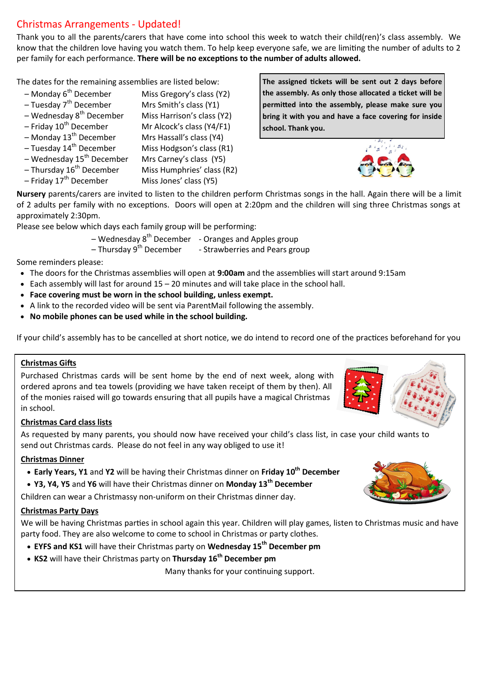# Christmas Arrangements - Updated!

Thank you to all the parents/carers that have come into school this week to watch their child(ren)'s class assembly. We know that the children love having you watch them. To help keep everyone safe, we are limiting the number of adults to 2 per family for each performance. **There will be no exceptions to the number of adults allowed.** 

The dates for the remaining assemblies are listed below:

- $-$  Monday 6<sup>th</sup> December Miss Gregory's class (Y2)
- $-$  Tuesday 7<sup>th</sup> December Mrs Smith's class (Y1)
- $-$  Wednesday 8<sup>th</sup> December Miss Harrison's class (Y2)
- $-$  Friday 10<sup>th</sup> December Mr Alcock's class (Y4/F1)
- $-$  Monday 13<sup>th</sup> December Mrs Hassall's class (Y4)
- $-$  Tuesday 14<sup>th</sup> December Miss Hodgson's class (R1)
- $-$  Wednesday 15<sup>th</sup> December Mrs Carney's class (Y5)
- Thursday 16th December Miss Humphries' class (R2)
- $-$  Friday 17<sup>th</sup> December Miss Jones' class (Y5)

**The assigned tickets will be sent out 2 days before the assembly. As only those allocated a ticket will be permitted into the assembly, please make sure you bring it with you and have a face covering for inside school. Thank you.**



**Nursery** parents/carers are invited to listen to the children perform Christmas songs in the hall. Again there will be a limit of 2 adults per family with no exceptions. Doors will open at 2:20pm and the children will sing three Christmas songs at approximately 2:30pm.

Please see below which days each family group will be performing:

– Wednesday  $8<sup>th</sup>$  December – Oranges and Apples group

 $-$  Thursday 9<sup>th</sup> December  $-$  - Strawberries and Pears group

Some reminders please:

- The doors for the Christmas assemblies will open at **9:00am** and the assemblies will start around 9:15am
- Each assembly will last for around 15 20 minutes and will take place in the school hall.
- **Face covering must be worn in the school building, unless exempt.**
- A link to the recorded video will be sent via ParentMail following the assembly.
- **No mobile phones can be used while in the school building.**

If your child's assembly has to be cancelled at short notice, we do intend to record one of the practices beforehand for you

### **Christmas Gifts**

Purchased Christmas cards will be sent home by the end of next week, along with ordered aprons and tea towels (providing we have taken receipt of them by then). All of the monies raised will go towards ensuring that all pupils have a magical Christmas in school.



# **Christmas Card class lists**

As requested by many parents, you should now have received your child's class list, in case your child wants to send out Christmas cards. Please do not feel in any way obliged to use it!

### **Christmas Dinner**

- **Early Years, Y1** and **Y2** will be having their Christmas dinner on **Friday 10th December**
- **Y3, Y4, Y5** and **Y6** will have their Christmas dinner on **Monday 13th December**

Children can wear a Christmassy non-uniform on their Christmas dinner day.

### **Christmas Party Days**

We will be having Christmas parties in school again this year. Children will play games, listen to Christmas music and have party food. They are also welcome to come to school in Christmas or party clothes.

- **EYFS and KS1** will have their Christmas party on **Wednesday 15th December pm**
- **KS2** will have their Christmas party on **Thursday 16th December pm**

Many thanks for your continuing support.